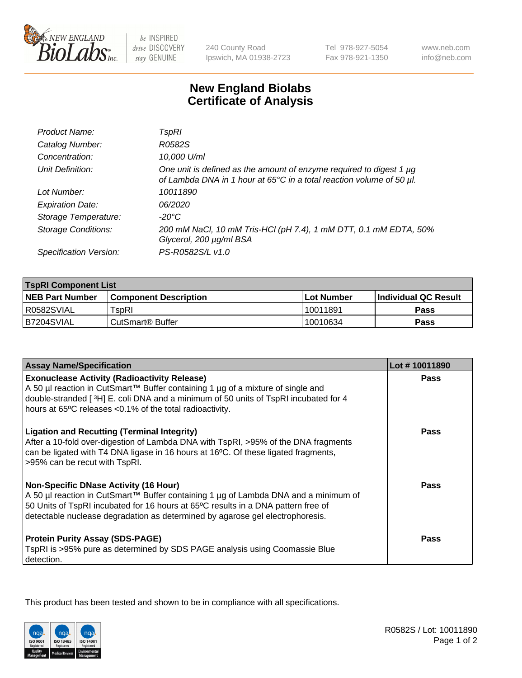

 $be$  INSPIRED drive DISCOVERY stay GENUINE

240 County Road Ipswich, MA 01938-2723 Tel 978-927-5054 Fax 978-921-1350

www.neb.com info@neb.com

## **New England Biolabs Certificate of Analysis**

| Product Name:              | TspRI                                                                                                                                       |
|----------------------------|---------------------------------------------------------------------------------------------------------------------------------------------|
| Catalog Number:            | R0582S                                                                                                                                      |
| Concentration:             | 10,000 U/ml                                                                                                                                 |
| Unit Definition:           | One unit is defined as the amount of enzyme required to digest 1 µg<br>of Lambda DNA in 1 hour at 65°C in a total reaction volume of 50 µl. |
| Lot Number:                | 10011890                                                                                                                                    |
| <b>Expiration Date:</b>    | 06/2020                                                                                                                                     |
| Storage Temperature:       | -20°C                                                                                                                                       |
| <b>Storage Conditions:</b> | 200 mM NaCl, 10 mM Tris-HCl (pH 7.4), 1 mM DTT, 0.1 mM EDTA, 50%<br>Glycerol, 200 µg/ml BSA                                                 |
| Specification Version:     | PS-R0582S/L v1.0                                                                                                                            |

| <b>TspRI Component List</b> |                              |                   |                       |  |
|-----------------------------|------------------------------|-------------------|-----------------------|--|
| <b>NEB Part Number</b>      | <b>Component Description</b> | <b>Lot Number</b> | ∣Individual QC Result |  |
| R0582SVIAL                  | TspRI                        | 10011891          | <b>Pass</b>           |  |
| B7204SVIAL                  | ' CutSmart® Buffer_          | 10010634          | Pass                  |  |

| <b>Assay Name/Specification</b>                                                                                                                                                                                                                                                                           | Lot #10011890 |
|-----------------------------------------------------------------------------------------------------------------------------------------------------------------------------------------------------------------------------------------------------------------------------------------------------------|---------------|
| <b>Exonuclease Activity (Radioactivity Release)</b>                                                                                                                                                                                                                                                       | <b>Pass</b>   |
| A 50 µl reaction in CutSmart™ Buffer containing 1 µg of a mixture of single and<br>double-stranded [3H] E. coli DNA and a minimum of 50 units of TspRI incubated for 4<br>hours at 65°C releases <0.1% of the total radioactivity.                                                                        |               |
| <b>Ligation and Recutting (Terminal Integrity)</b><br>After a 10-fold over-digestion of Lambda DNA with TspRI, >95% of the DNA fragments<br>can be ligated with T4 DNA ligase in 16 hours at 16°C. Of these ligated fragments,<br>>95% can be recut with TspRI.                                           | <b>Pass</b>   |
| <b>Non-Specific DNase Activity (16 Hour)</b><br>A 50 µl reaction in CutSmart™ Buffer containing 1 µg of Lambda DNA and a minimum of<br>50 Units of TspRI incubated for 16 hours at 65°C results in a DNA pattern free of<br>detectable nuclease degradation as determined by agarose gel electrophoresis. | <b>Pass</b>   |
| <b>Protein Purity Assay (SDS-PAGE)</b><br>TspRI is >95% pure as determined by SDS PAGE analysis using Coomassie Blue<br>detection.                                                                                                                                                                        | Pass          |

This product has been tested and shown to be in compliance with all specifications.